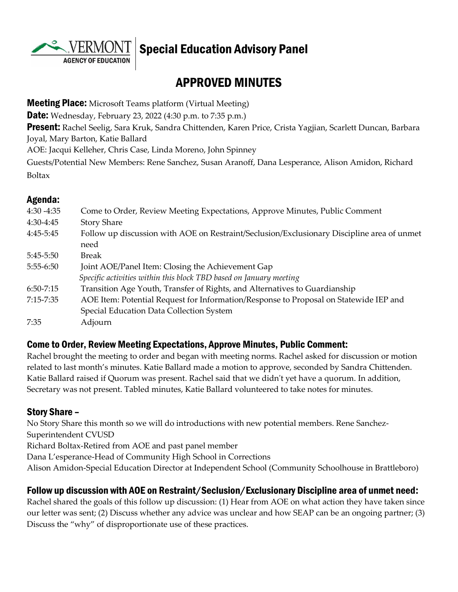

## Special Education Advisory Panel

# APPROVED MINUTES

**Meeting Place:** Microsoft Teams platform (Virtual Meeting) **Date:** Wednesday, February 23, 2022 (4:30 p.m. to 7:35 p.m.) **Present:** Rachel Seelig, Sara Kruk, Sandra Chittenden, Karen Price, Crista Yagjian, Scarlett Duncan, Barbara Joyal, Mary Barton, Katie Ballard AOE: Jacqui Kelleher, Chris Case, Linda Moreno, John Spinney Guests/Potential New Members: Rene Sanchez, Susan Aranoff, Dana Lesperance, Alison Amidon, Richard Boltax

#### Agenda:

| $4:30 - 4:35$ | Come to Order, Review Meeting Expectations, Approve Minutes, Public Comment                |
|---------------|--------------------------------------------------------------------------------------------|
| $4:30-4:45$   | <b>Story Share</b>                                                                         |
| $4:45-5:45$   | Follow up discussion with AOE on Restraint/Seclusion/Exclusionary Discipline area of unmet |
|               | need                                                                                       |
| $5:45-5:50$   | <b>Break</b>                                                                               |
| $5:55-6:50$   | Joint AOE/Panel Item: Closing the Achievement Gap                                          |
|               | Specific activities within this block TBD based on January meeting                         |
| $6:50-7:15$   | Transition Age Youth, Transfer of Rights, and Alternatives to Guardianship                 |
| $7:15 - 7:35$ | AOE Item: Potential Request for Information/Response to Proposal on Statewide IEP and      |
|               | Special Education Data Collection System                                                   |
| 7:35          | Adjourn                                                                                    |
|               |                                                                                            |

#### Come to Order, Review Meeting Expectations, Approve Minutes, Public Comment:

Rachel brought the meeting to order and began with meeting norms. Rachel asked for discussion or motion related to last month's minutes. Katie Ballard made a motion to approve, seconded by Sandra Chittenden. Katie Ballard raised if Quorum was present. Rachel said that we didn't yet have a quorum. In addition, Secretary was not present. Tabled minutes, Katie Ballard volunteered to take notes for minutes.

#### Story Share –

No Story Share this month so we will do introductions with new potential members. Rene Sanchez-Superintendent CVUSD

Richard Boltax-Retired from AOE and past panel member

Dana L'esperance-Head of Community High School in Corrections

Alison Amidon-Special Education Director at Independent School (Community Schoolhouse in Brattleboro)

#### Follow up discussion with AOE on Restraint/Seclusion/Exclusionary Discipline area of unmet need:

Rachel shared the goals of this follow up discussion: (1) Hear from AOE on what action they have taken since our letter was sent; (2) Discuss whether any advice was unclear and how SEAP can be an ongoing partner; (3) Discuss the "why" of disproportionate use of these practices.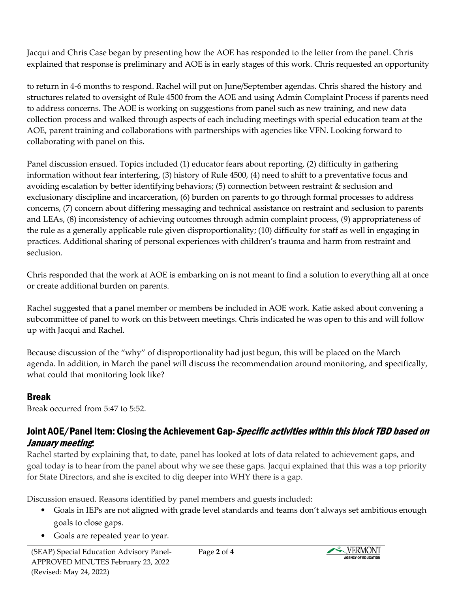Jacqui and Chris Case began by presenting how the AOE has responded to the letter from the panel. Chris explained that response is preliminary and AOE is in early stages of this work. Chris requested an opportunity

to return in 4-6 months to respond. Rachel will put on June/September agendas. Chris shared the history and structures related to oversight of Rule 4500 from the AOE and using Admin Complaint Process if parents need to address concerns. The AOE is working on suggestions from panel such as new training, and new data collection process and walked through aspects of each including meetings with special education team at the AOE, parent training and collaborations with partnerships with agencies like VFN. Looking forward to collaborating with panel on this.

Panel discussion ensued. Topics included (1) educator fears about reporting, (2) difficulty in gathering information without fear interfering, (3) history of Rule 4500, (4) need to shift to a preventative focus and avoiding escalation by better identifying behaviors; (5) connection between restraint & seclusion and exclusionary discipline and incarceration, (6) burden on parents to go through formal processes to address concerns, (7) concern about differing messaging and technical assistance on restraint and seclusion to parents and LEAs, (8) inconsistency of achieving outcomes through admin complaint process, (9) appropriateness of the rule as a generally applicable rule given disproportionality; (10) difficulty for staff as well in engaging in practices. Additional sharing of personal experiences with children's trauma and harm from restraint and seclusion.

Chris responded that the work at AOE is embarking on is not meant to find a solution to everything all at once or create additional burden on parents.

Rachel suggested that a panel member or members be included in AOE work. Katie asked about convening a subcommittee of panel to work on this between meetings. Chris indicated he was open to this and will follow up with Jacqui and Rachel.

Because discussion of the "why" of disproportionality had just begun, this will be placed on the March agenda. In addition, in March the panel will discuss the recommendation around monitoring, and specifically, what could that monitoring look like?

## Break

Break occurred from 5:47 to 5:52.

#### Joint AOE/Panel Item: Closing the Achievement Gap-Specific activities within this block TBD based on January meeting:

Rachel started by explaining that, to date, panel has looked at lots of data related to achievement gaps, and goal today is to hear from the panel about why we see these gaps. Jacqui explained that this was a top priority for State Directors, and she is excited to dig deeper into WHY there is a gap.

Discussion ensued. Reasons identified by panel members and guests included:

- Goals in IEPs are not aligned with grade level standards and teams don't always set ambitious enough goals to close gaps.
- Goals are repeated year to year.

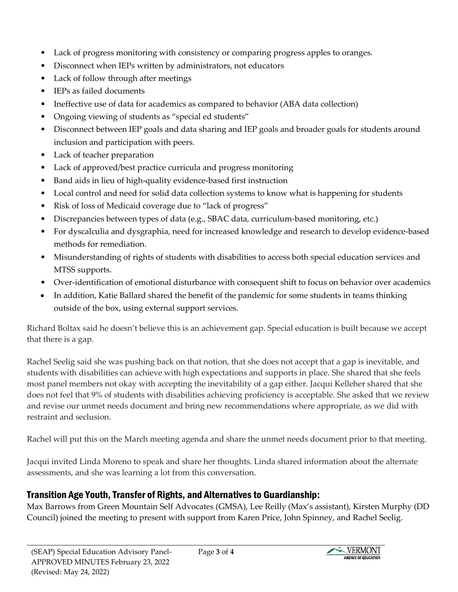- Lack of progress monitoring with consistency or comparing progress apples to oranges.
- Disconnect when IEPs written by administrators, not educators
- Lack of follow through after meetings
- IEPs as failed documents
- Ineffective use of data for academics as compared to behavior (ABA data collection)
- Ongoing viewing of students as "special ed students"
- Disconnect between IEP goals and data sharing and IEP goals and broader goals for students around inclusion and participation with peers.
- Lack of teacher preparation
- Lack of approved/best practice curricula and progress monitoring
- Band aids in lieu of high-quality evidence-based first instruction
- Local control and need for solid data collection systems to know what is happening for students
- Risk of loss of Medicaid coverage due to "lack of progress"
- Discrepancies between types of data (e.g., SBAC data, curriculum-based monitoring, etc.)
- For dyscalculia and dysgraphia, need for increased knowledge and research to develop evidence-based methods for remediation.
- Misunderstanding of rights of students with disabilities to access both special education services and MTSS supports.
- Over-identification of emotional disturbance with consequent shift to focus on behavior over academics
- In addition, Katie Ballard shared the benefit of the pandemic for some students in teams thinking outside of the box, using external support services.

Richard Boltax said he doesn't believe this is an achievement gap. Special education is built because we accept that there is a gap.

Rachel Seelig said she was pushing back on that notion, that she does not accept that a gap is inevitable, and students with disabilities can achieve with high expectations and supports in place. She shared that she feels most panel members not okay with accepting the inevitability of a gap either. Jacqui Kelleher shared that she does not feel that 9% of students with disabilities achieving proficiency is acceptable. She asked that we review and revise our unmet needs document and bring new recommendations where appropriate, as we did with restraint and seclusion.

Rachel will put this on the March meeting agenda and share the unmet needs document prior to that meeting.

Jacqui invited Linda Moreno to speak and share her thoughts. Linda shared information about the alternate assessments, and she was learning a lot from this conversation.

## Transition Age Youth, Transfer of Rights, and Alternatives to Guardianship:

Max Barrows from Green Mountain Self Advocates (GMSA), Lee Reilly (Max's assistant), Kirsten Murphy (DD Council) joined the meeting to present with support from Karen Price, John Spinney, and Rachel Seelig.